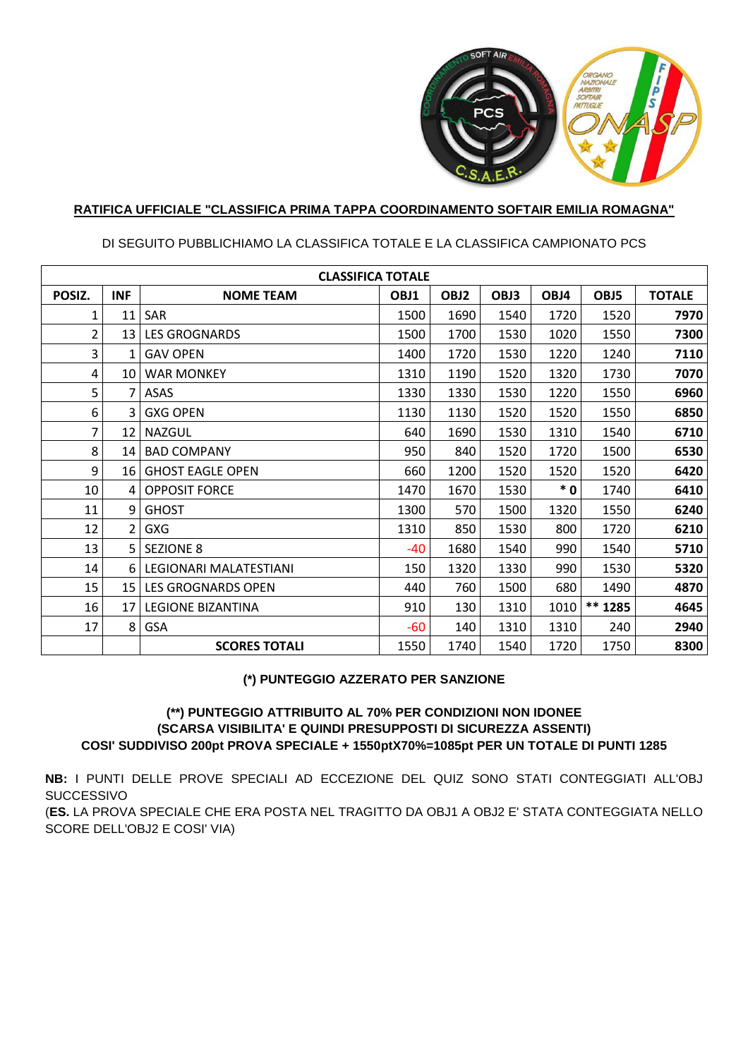

## RATIFICA UFFICIALE "CLASSIFICA PRIMA TAPPA COORDINAMENTO SOFTAIR EMILIA ROMAGNA"

| <b>CLASSIFICA TOTALE</b> |                |                           |       |      |      |       |         |               |  |  |  |
|--------------------------|----------------|---------------------------|-------|------|------|-------|---------|---------------|--|--|--|
| POSIZ.                   | <b>INF</b>     | <b>NOME TEAM</b>          | OBJ1  | OBJ2 | OBJ3 | OBJ4  | OBJ5    | <b>TOTALE</b> |  |  |  |
| 1                        | 11             | SAR                       | 1500  | 1690 | 1540 | 1720  | 1520    | 7970          |  |  |  |
| 2                        | 13             | <b>LES GROGNARDS</b>      | 1500  | 1700 | 1530 | 1020  | 1550    | 7300          |  |  |  |
| 3                        | 1              | <b>GAV OPEN</b>           | 1400  | 1720 | 1530 | 1220  | 1240    | 7110          |  |  |  |
| 4                        | 10             | <b>WAR MONKEY</b>         | 1310  | 1190 | 1520 | 1320  | 1730    | 7070          |  |  |  |
| 5                        | 7              | ASAS                      | 1330  | 1330 | 1530 | 1220  | 1550    | 6960          |  |  |  |
| 6                        | 3              | <b>GXG OPEN</b>           | 1130  | 1130 | 1520 | 1520  | 1550    | 6850          |  |  |  |
| 7                        | 12             | <b>NAZGUL</b>             | 640   | 1690 | 1530 | 1310  | 1540    | 6710          |  |  |  |
| 8                        | 14             | <b>BAD COMPANY</b>        | 950   | 840  | 1520 | 1720  | 1500    | 6530          |  |  |  |
| 9                        | 16             | <b>GHOST EAGLE OPEN</b>   | 660   | 1200 | 1520 | 1520  | 1520    | 6420          |  |  |  |
| 10                       | 4              | <b>OPPOSIT FORCE</b>      | 1470  | 1670 | 1530 | $*$ 0 | 1740    | 6410          |  |  |  |
| 11                       | 9              | <b>GHOST</b>              | 1300  | 570  | 1500 | 1320  | 1550    | 6240          |  |  |  |
| 12                       | $\overline{2}$ | <b>GXG</b>                | 1310  | 850  | 1530 | 800   | 1720    | 6210          |  |  |  |
| 13                       | 5              | <b>SEZIONE 8</b>          | $-40$ | 1680 | 1540 | 990   | 1540    | 5710          |  |  |  |
| 14                       | 6              | LEGIONARI MALATESTIANI    | 150   | 1320 | 1330 | 990   | 1530    | 5320          |  |  |  |
| 15                       | 15             | <b>LES GROGNARDS OPEN</b> | 440   | 760  | 1500 | 680   | 1490    | 4870          |  |  |  |
| 16                       | 17             | <b>LEGIONE BIZANTINA</b>  | 910   | 130  | 1310 | 1010  | ** 1285 | 4645          |  |  |  |
| 17                       | 8              | <b>GSA</b>                | $-60$ | 140  | 1310 | 1310  | 240     | 2940          |  |  |  |
|                          |                | <b>SCORES TOTALI</b>      | 1550  | 1740 | 1540 | 1720  | 1750    | 8300          |  |  |  |

DI SEGUITO PUBBLICHIAMO LA CLASSIFICA TOTALE E LA CLASSIFICA CAMPIONATO PCS

#### (\*) PUNTEGGIO AZZERATO PER SANZIONE

## (\*\*) PUNTEGGIO ATTRIBUITO AL 70% PER CONDIZIONI NON IDONEE (SCARSA VISIBILITA' E QUINDI PRESUPPOSTI DI SICUREZZA ASSENTI) COSI' SUDDIVISO 200pt PROVA SPECIALE + 1550ptX70%=1085pt PER UN TOTALE DI PUNTI 1285

NB: I PUNTI DELLE PROVE SPECIALI AD ECCEZIONE DEL QUIZ SONO STATI CONTEGGIATI ALL'OBJ **SUCCESSIVO** (ES. LA PROVA SPECIALE CHE ERA POSTA NEL TRAGITTO DA OBJ1 A OBJ2 E' STATA CONTEGGIATA NELLO SCORE DELL'OBJ2 E COSI' VIA)